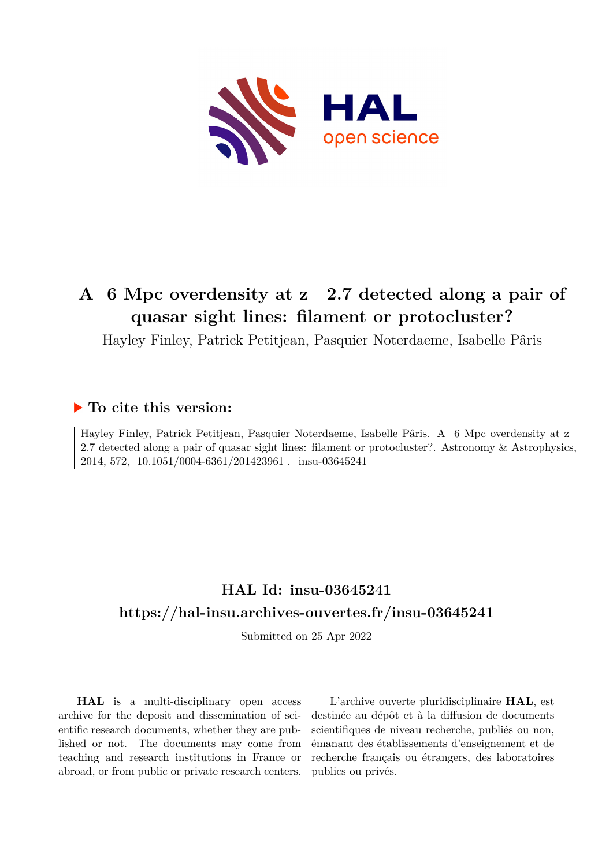

# A 6 Mpc overdensity at z 2.7 detected along a pair of **quasar sight lines: filament or protocluster?**

Hayley Finley, Patrick Petitjean, Pasquier Noterdaeme, Isabelle Pâris

## **To cite this version:**

Hayley Finley, Patrick Petitjean, Pasquier Noterdaeme, Isabelle Pâris. A 6 Mpc overdensity at z 2.7 detected along a pair of quasar sight lines: filament or protocluster?. Astronomy & Astrophysics, 2014, 572, 10.1051/0004-6361/201423961 . insu-03645241

## **HAL Id: insu-03645241 <https://hal-insu.archives-ouvertes.fr/insu-03645241>**

Submitted on 25 Apr 2022

**HAL** is a multi-disciplinary open access archive for the deposit and dissemination of scientific research documents, whether they are published or not. The documents may come from teaching and research institutions in France or abroad, or from public or private research centers.

L'archive ouverte pluridisciplinaire **HAL**, est destinée au dépôt et à la diffusion de documents scientifiques de niveau recherche, publiés ou non, émanant des établissements d'enseignement et de recherche français ou étrangers, des laboratoires publics ou privés.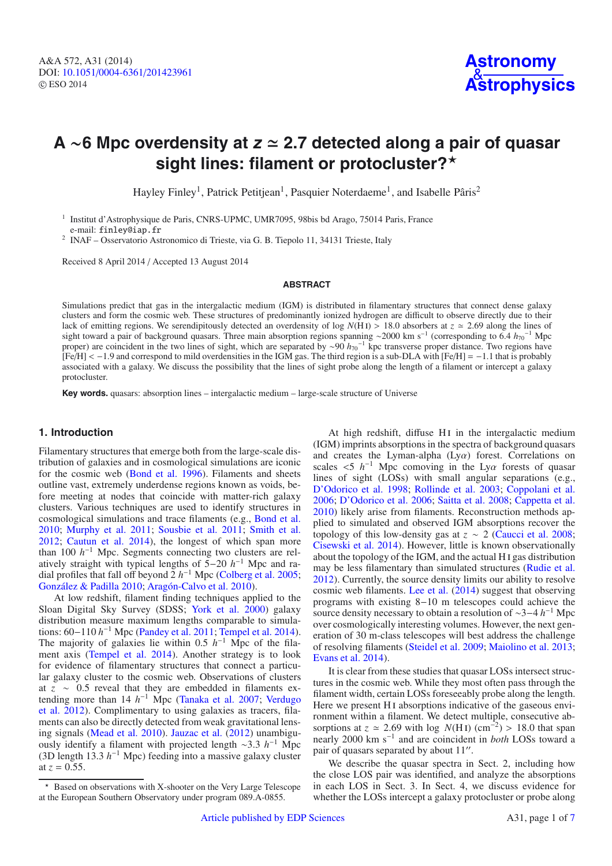## **A** ∼**6 Mpc overdensity at <sup>z</sup> 2.7 detected along a pair of quasar** sight lines: filament or protocluster?\*

Hayley Finley<sup>1</sup>, Patrick Petitjean<sup>1</sup>, Pasquier Noterdaeme<sup>1</sup>, and Isabelle Pâris<sup>2</sup>

<sup>1</sup> Institut d'Astrophysique de Paris, CNRS-UPMC, UMR7095, 98bis bd Arago, 75014 Paris, France e-mail: finley@iap.fr

<sup>2</sup> INAF – Osservatorio Astronomico di Trieste, via G. B. Tiepolo 11, 34131 Trieste, Italy

Received 8 April 2014 / Accepted 13 August 2014

### **ABSTRACT**

Simulations predict that gas in the intergalactic medium (IGM) is distributed in filamentary structures that connect dense galaxy clusters and form the cosmic web. These structures of predominantly ionized hydrogen are difficult to observe directly due to their lack of emitting regions. We serendipitously detected an overdensity of log  $N(HI) > 18.0$  absorbers at  $z \approx 2.69$  along the lines of sight toward a pair of background quasars. Three main absorption regions spanning ∼2000 km s<sup>−1</sup> (corresponding to 6.4 *h*<sub>70</sub><sup>−1</sup> Mpc proper) are coincident in the two lines of sight, which are separated by ∼90 *h*<sub>70</sub><sup>-1</sup> kpc transverse proper distance. Two regions have [Fe/H] < −1.9 and correspond to mild overdensities in the IGM gas. The third region is a sub-DLA with [Fe/H] = −1.1 that is probably associated with a galaxy. We discuss the possibility that the lines of sight probe along the length of a filament or intercept a galaxy protocluster.

**Key words.** quasars: absorption lines – intergalactic medium – large-scale structure of Universe

## **1. Introduction**

Filamentary structures that emerge both from the large-scale distribution of galaxies and in cosmological simulations are iconic for the cosmic web (Bond et al. 1996). Filaments and sheets outline vast, extremely underdense regions known as voids, before meeting at nodes that coincide with matter-rich galaxy clusters. Various techniques are used to identify structures in cosmological simulations and trace filaments (e.g., Bond et al. 2010; Murphy et al. 2011; Sousbie et al. 2011; Smith et al. 2012; Cautun et al. 2014), the longest of which span more than 100 *h*−<sup>1</sup> Mpc. Segments connecting two clusters are relatively straight with typical lengths of 5−20 *h*−<sup>1</sup> Mpc and radial profiles that fall off beyond 2 *h*−<sup>1</sup> Mpc (Colberg et al. 2005; González & Padilla 2010; Aragón-Calvo et al. 2010).

At low redshift, filament finding techniques applied to the Sloan Digital Sky Survey (SDSS; York et al. 2000) galaxy distribution measure maximum lengths comparable to simulations: 60−110 *h*−<sup>1</sup> Mpc (Pandey et al. 2011; Tempel et al. 2014). The majority of galaxies lie within 0.5 *h*−<sup>1</sup> Mpc of the filament axis (Tempel et al. 2014). Another strategy is to look for evidence of filamentary structures that connect a particular galaxy cluster to the cosmic web. Observations of clusters at *z* ∼ 0.5 reveal that they are embedded in filaments extending more than 14 *h*−<sup>1</sup> Mpc (Tanaka et al. 2007; Verdugo et al. 2012). Complimentary to using galaxies as tracers, filaments can also be directly detected from weak gravitational lensing signals (Mead et al. 2010). Jauzac et al. (2012) unambiguously identify a filament with projected length ∼3.3 *h*−<sup>1</sup> Mpc (3D length 13.3 *h*−<sup>1</sup> Mpc) feeding into a massive galaxy cluster at  $z = 0.55$ .

At high redshift, diffuse HI in the intergalactic medium (IGM) imprints absorptions in the spectra of background quasars and creates the Lyman-alpha  $(Ly\alpha)$  forest. Correlations on scales  $\lt 5$  *h*<sup>−1</sup> Mpc comoving in the Ly $\alpha$  forests of quasar lines of sight (LOSs) with small angular separations (e.g., D'Odorico et al. 1998; Rollinde et al. 2003; Coppolani et al. 2006; D'Odorico et al. 2006; Saitta et al. 2008; Cappetta et al. 2010) likely arise from filaments. Reconstruction methods applied to simulated and observed IGM absorptions recover the topology of this low-density gas at  $z \sim 2$  (Caucci et al. 2008; Cisewski et al. 2014). However, little is known observationally about the topology of the IGM, and the actual H i gas distribution may be less filamentary than simulated structures (Rudie et al. 2012). Currently, the source density limits our ability to resolve cosmic web filaments. Lee et al. (2014) suggest that observing programs with existing 8−10 m telescopes could achieve the source density necessary to obtain a resolution of ∼3−4 *h*−<sup>1</sup> Mpc over cosmologically interesting volumes. However, the next generation of 30 m-class telescopes will best address the challenge of resolving filaments (Steidel et al. 2009; Maiolino et al. 2013; Evans et al. 2014).

It is clear from these studies that quasar LOSs intersect structures in the cosmic web. While they most often pass through the filament width, certain LOSs foreseeably probe along the length. Here we present H<sub>I</sub> absorptions indicative of the gaseous environment within a filament. We detect multiple, consecutive absorptions at  $z \approx 2.69$  with log  $N(H I)$  (cm<sup>-2</sup>) > 18.0 that span nearly 2000 km s−<sup>1</sup> and are coincident in *both* LOSs toward a pair of quasars separated by about 11".

We describe the quasar spectra in Sect. 2, including how the close LOS pair was identified, and analyze the absorptions in each LOS in Sect. 3. In Sect. 4, we discuss evidence for whether the LOSs intercept a galaxy protocluster or probe along

<sup>-</sup> Based on observations with X-shooter on the Very Large Telescope at the European Southern Observatory under program 089.A-0855.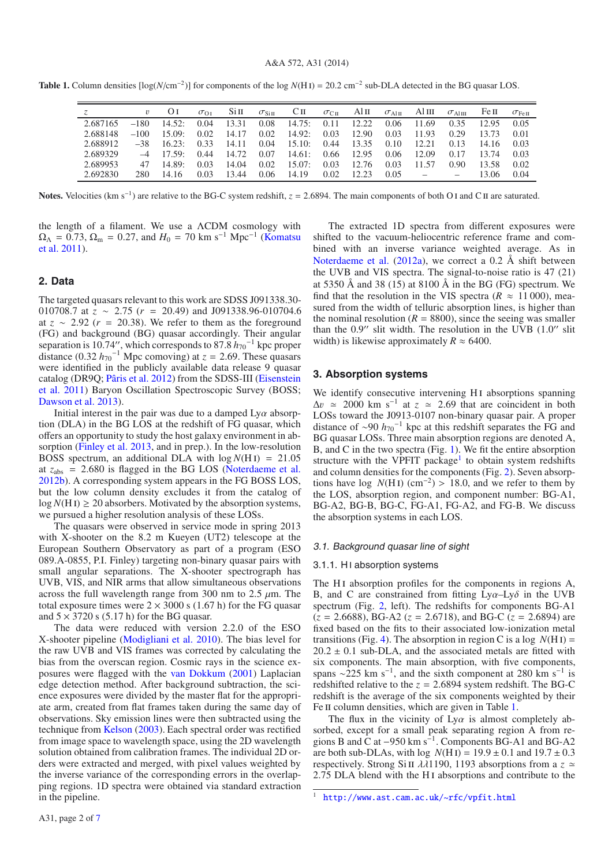**Table 1.** Column densities  $\lceil \log(N/\text{cm}^{-2}) \rceil$  for components of the log  $N(\text{H I}) = 20.2 \text{ cm}^{-2}$  sub-DLA detected in the BG quasar LOS.

|          |        | OI         | $\sigma_{\Omega}$ |       | $\mathrm{Si II}$ $\sigma_{\mathrm{SiII}}$ |             |      | CII $\sigma_{\text{CH}}$ Alii $\sigma_{\text{AlII}}$ Aliii $\sigma_{\text{AlIII}}$ |      |                          |      | Fe II | $\sigma_{\rm Fe\,II}$ |
|----------|--------|------------|-------------------|-------|-------------------------------------------|-------------|------|------------------------------------------------------------------------------------|------|--------------------------|------|-------|-----------------------|
| 2.687165 | $-180$ | 14.52:     | 0.04              | 13.31 | 0.08                                      | 14.75: 0.11 |      | 12.22                                                                              | 0.06 | 11.69                    | 0.35 | 12.95 | 0.05                  |
| 2.688148 | $-100$ | 15.09:     | 0.02              | 14.17 | 0.02                                      | 14.92:      | 0.03 | 12.90                                                                              | 0.03 | 11.93                    | 0.29 | 13.73 | 0.01                  |
| 2.688912 | $-38$  | 16.23      | 0.33              | 14.11 | 0.04                                      | 15.10:0.44  |      | 13.35                                                                              | 0.10 | 12.21                    | 0.13 | 14.16 | 0.03                  |
| 2.689329 |        | $-4$ 17.59 | 0.44              | 14.72 | 0.07                                      | 14.61: 0.66 |      | 12.95                                                                              | 0.06 | 12.09                    | 0.17 | 13.74 | 0.03                  |
| 2.689953 | 47     | 14.89:     | 0.03              | 14.04 | 0.02                                      | 15.07:      | 0.03 | 12.76                                                                              | 0.03 | 11.57                    | 0.90 | 13.58 | 0.02                  |
| 2.692830 | 280.   | 14.16      | 0.03              | 13.44 | 0.06                                      | 14.19       | 0.02 | 12.23                                                                              | 0.05 | $\overline{\phantom{m}}$ |      | 13.06 | 0.04                  |

Notes. Velocities (km s<sup>−1</sup>) are relative to the BG-C system redshift,  $z = 2.6894$ . The main components of both O I and C II are saturated.

the length of a filament. We use a ΛCDM cosmology with  $Ω<sub>Λ</sub> = 0.73, Ω<sub>m</sub> = 0.27, and H<sub>0</sub> = 70 km s<sup>-1</sup> Mpc<sup>-1</sup> (Komatsu)$ et al. 2011).

## **2. Data**

The targeted quasars relevant to this work are SDSS J091338.30- 010708.7 at *z* ∼ 2.75 (*r* = 20.49) and J091338.96-010704.6 at  $z \sim 2.92$  ( $r = 20.38$ ). We refer to them as the foreground (FG) and background (BG) quasar accordingly. Their angular separation is 10.74", which corresponds to 87.8  $h_{70}$ <sup>-1</sup> kpc proper distance (0.32  $h_{70}$ <sup>-1</sup> Mpc comoving) at  $z = 2.69$ . These quasars were identified in the publicly available data release 9 quasar catalog (DR9Q; Pâris et al. 2012) from the SDSS-III (Eisenstein et al. 2011) Baryon Oscillation Spectroscopic Survey (BOSS; Dawson et al. 2013).

Initial interest in the pair was due to a damped  $Ly\alpha$  absorption (DLA) in the BG LOS at the redshift of FG quasar, which offers an opportunity to study the host galaxy environment in absorption (Finley et al. 2013, and in prep.). In the low-resolution BOSS spectrum, an additional DLA with  $log N(HI) = 21.05$ at  $z_{\text{abs}} = 2.680$  is flagged in the BG LOS (Noterdaeme et al. 2012b). A corresponding system appears in the FG BOSS LOS, but the low column density excludes it from the catalog of  $log N(H I) \ge 20$  absorbers. Motivated by the absorption systems, we pursued a higher resolution analysis of these LOSs.

The quasars were observed in service mode in spring 2013 with X-shooter on the 8.2 m Kueyen (UT2) telescope at the European Southern Observatory as part of a program (ESO 089.A-0855, P.I. Finley) targeting non-binary quasar pairs with small angular separations. The X-shooter spectrograph has UVB, VIS, and NIR arms that allow simultaneous observations across the full wavelength range from 300 nm to 2.5  $\mu$ m. The total exposure times were  $2 \times 3000$  s (1.67 h) for the FG quasar and  $5 \times 3720$  s (5.17 h) for the BG quasar.

The data were reduced with version 2.2.0 of the ESO X-shooter pipeline (Modigliani et al. 2010). The bias level for the raw UVB and VIS frames was corrected by calculating the bias from the overscan region. Cosmic rays in the science exposures were flagged with the van Dokkum (2001) Laplacian edge detection method. After background subtraction, the science exposures were divided by the master flat for the appropriate arm, created from flat frames taken during the same day of observations. Sky emission lines were then subtracted using the technique from Kelson (2003). Each spectral order was rectified from image space to wavelength space, using the 2D wavelength solution obtained from calibration frames. The individual 2D orders were extracted and merged, with pixel values weighted by the inverse variance of the corresponding errors in the overlapping regions. 1D spectra were obtained via standard extraction in the pipeline.

The extracted 1D spectra from different exposures were shifted to the vacuum-heliocentric reference frame and combined with an inverse variance weighted average. As in Noterdaeme et al. (2012a), we correct a 0.2 Å shift between the UVB and VIS spectra. The signal-to-noise ratio is 47 (21) at 5350 Å and 38 (15) at 8100 Å in the BG (FG) spectrum. We find that the resolution in the VIS spectra ( $R \approx 11000$ ), measured from the width of telluric absorption lines, is higher than the nominal resolution ( $R = 8800$ ), since the seeing was smaller than the  $0.9''$  slit width. The resolution in the UVB (1.0" slit width) is likewise approximately  $R \approx 6400$ .

### **3. Absorption systems**

We identify consecutive intervening H<sub>I</sub> absorptions spanning  $\Delta v \approx 2000$  km s<sup>-1</sup> at  $z \approx 2.69$  that are coincident in both LOSs toward the J0913-0107 non-binary quasar pair. A proper distance of <sup>∼</sup><sup>90</sup> *<sup>h</sup>*70−<sup>1</sup> kpc at this redshift separates the FG and BG quasar LOSs. Three main absorption regions are denoted A, B, and C in the two spectra (Fig. 1). We fit the entire absorption structure with the VPFIT package<sup>1</sup> to obtain system redshifts and column densities for the components (Fig. 2). Seven absorptions have log  $N(H I)$  (cm<sup>-2</sup>) > 18.0, and we refer to them by the LOS, absorption region, and component number: BG-A1, BG-A2, BG-B, BG-C, FG-A1, FG-A2, and FG-B. We discuss the absorption systems in each LOS.

## 3.1. Background quasar line of sight

#### 3.1.1. H i absorption systems

The H<sub>I</sub> absorption profiles for the components in regions A, B, and C are constrained from fitting  $Ly\alpha$ - $Ly\delta$  in the UVB spectrum (Fig. 2, left). The redshifts for components BG-A1  $(z = 2.6688)$ , BG-A2  $(z = 2.6718)$ , and BG-C  $(z = 2.6894)$  are fixed based on the fits to their associated low-ionization metal transitions (Fig. 4). The absorption in region C is a log  $N(H I)$  =  $20.2 \pm 0.1$  sub-DLA, and the associated metals are fitted with six components. The main absorption, with five components, spans  $\sim$ 225 km s<sup>-1</sup>, and the sixth component at 280 km s<sup>-1</sup> is redshifted relative to the  $z = 2.6894$  system redshift. The BG-C redshift is the average of the six components weighted by their Fe II column densities, which are given in Table 1.

The flux in the vicinity of  $Ly\alpha$  is almost completely absorbed, except for a small peak separating region A from regions B and C at  $-950 \text{ km s}^{-1}$ . Components BG-A1 and BG-A2 are both sub-DLAs, with  $log N(H I) = 19.9 \pm 0.1$  and  $19.7 \pm 0.3$ respectively. Strong Si II  $\lambda\lambda$ 1190, 1193 absorptions from a  $z \approx$ 2.75 DLA blend with the H<sub>I</sub> absorptions and contribute to the

<sup>1</sup> <http://www.ast.cam.ac.uk/~rfc/vpfit.html>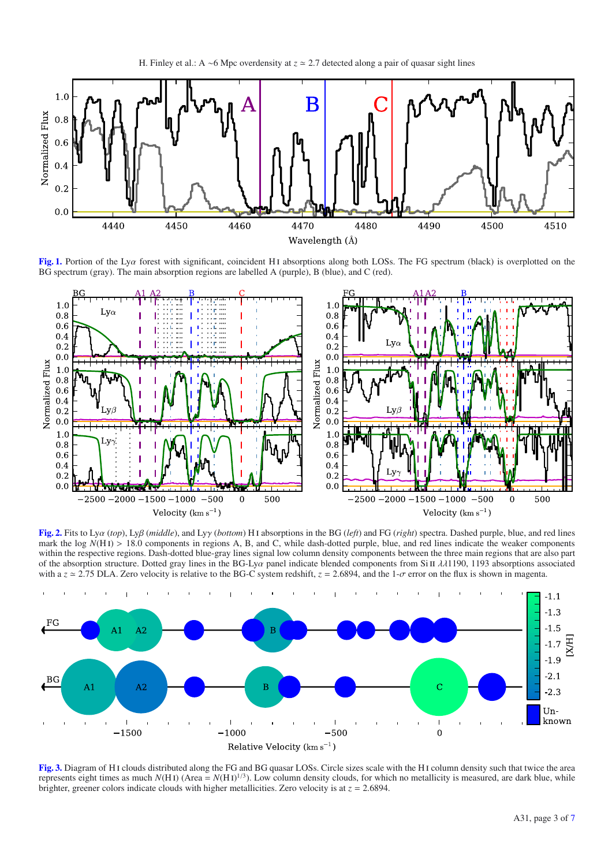

**[Fig. 1.](http://dexter.edpsciences.org/applet.php?DOI=10.1051/0004-6361/201423961&pdf_id=1)** Portion of the Lya forest with significant, coincident H<sub>I</sub> absorptions along both LOSs. The FG spectrum (black) is overplotted on the BG spectrum (gray). The main absorption regions are labelled A (purple), B (blue), and C (red).



**[Fig. 2.](http://dexter.edpsciences.org/applet.php?DOI=10.1051/0004-6361/201423961&pdf_id=2)** Fits to Lyα (*top*), Lyβ (*middle*), and Lyγ (*bottom*) H i absorptions in the BG (*left*) and FG (*right*) spectra. Dashed purple, blue, and red lines mark the log  $N(H I) > 18.0$  components in regions A, B, and C, while dash-dotted purple, blue, and red lines indicate the weaker components within the respective regions. Dash-dotted blue-gray lines signal low column density components between the three main regions that are also part of the absorption structure. Dotted gray lines in the BG-Lya panel indicate blended components from Si II  $\lambda\lambda$ 1190, 1193 absorptions associated with a  $z \approx 2.75$  DLA. Zero velocity is relative to the BG-C system redshift,  $z = 2.6894$ , and the 1- $\sigma$  error on the flux is shown in magenta.



**[Fig. 3.](http://dexter.edpsciences.org/applet.php?DOI=10.1051/0004-6361/201423961&pdf_id=3)** Diagram of H i clouds distributed along the FG and BG quasar LOSs. Circle sizes scale with the H i column density such that twice the area represents eight times as much  $N(HI)$  (Area =  $N(HI)^{1/3}$ ). Low column density clouds, for which no metallicity is measured, are dark blue, while brighter, greener colors indicate clouds with higher metallicities. Zero velocity is at  $z = 2.6894$ .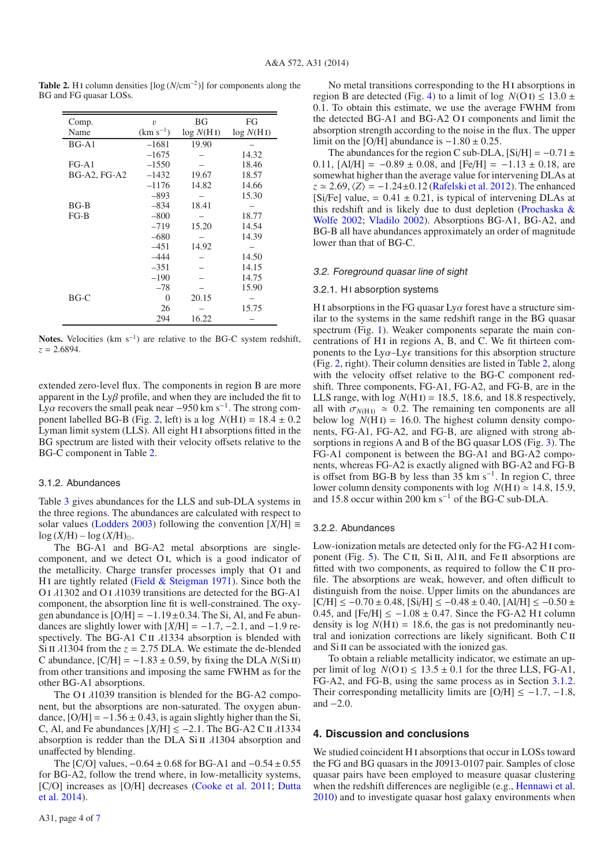| Comp.               | $\upsilon$    | ΒG        | FG        |
|---------------------|---------------|-----------|-----------|
| Name                | $(km s^{-1})$ | log N(HI) | log N(HI) |
| $BG-A1$             | $-1681$       | 19.90     |           |
|                     | $-1675$       |           | 14.32     |
| $FG-A1$             | $-1550$       |           | 18.46     |
| <b>BG-A2, FG-A2</b> | $-1432$       | 19.67     | 18.57     |
|                     | $-1176$       | 14.82     | 14.66     |
|                     | $-893$        |           | 15.30     |
| $BG-B$              | $-834$        | 18.41     |           |
| $FG-B$              | $-800$        |           | 18.77     |
|                     | $-719$        | 15.20     | 14.54     |
|                     | $-680$        |           | 14.39     |
|                     | $-451$        | 14.92     |           |
|                     | -444          |           | 14.50     |
|                     | $-351$        |           | 14.15     |
|                     | $-190$        |           | 14.75     |
|                     | $-78$         |           | 15.90     |
| $BG-C$              | $\theta$      | 20.15     |           |
|                     | 26            |           | 15.75     |
|                     | 294           | 16.22     |           |

**Table 2.** H<sub>I</sub> column densities  $\lceil \log (N/\text{cm}^{-2}) \rceil$  for components along the BG and FG quasar LOSs.

**Notes.** Velocities (km  $s^{-1}$ ) are relative to the BG-C system redshift, *z* = 2.6894.

extended zero-level flux. The components in region B are more apparent in the  $Ly\beta$  profile, and when they are included the fit to Ly $\alpha$  recovers the small peak near −950 km s<sup>-1</sup>. The strong component labelled BG-B (Fig. 2, left) is a log  $N(H I) = 18.4 \pm 0.2$ Lyman limit system (LLS). All eight H i absorptions fitted in the BG spectrum are listed with their velocity offsets relative to the BG-C component in Table 2.

## 3.1.2. Abundances

Table 3 gives abundances for the LLS and sub-DLA systems in the three regions. The abundances are calculated with respect to solar values (Lodders 2003) following the convention  $[X/H] \equiv$  $log (X/H) - log (X/H)_{\odot}.$ 

The BG-A1 and BG-A2 metal absorptions are singlecomponent, and we detect O i, which is a good indicator of the metallicity. Charge transfer processes imply that OI and H<sub>I</sub> are tightly related (Field  $&$  Steigman 1971). Since both the O i λ1302 and O i λ1039 transitions are detected for the BG-A1 component, the absorption line fit is well-constrained. The oxygen abundance is  $[O/H] = -1.19 \pm 0.34$ . The Si, Al, and Fe abundances are slightly lower with  $[X/H] = -1.7, -2.1,$  and  $-1.9$  respectively. The BG-A1 C II  $\lambda$ 1334 absorption is blended with Si II  $\lambda$ 1304 from the *z* = 2.75 DLA. We estimate the de-blended C abundance,  $[C/H] = -1.83 \pm 0.59$ , by fixing the DLA  $N(Si II)$ from other transitions and imposing the same FWHM as for the other BG-A1 absorptions.

The O<sub>I</sub>  $\lambda$ 1039 transition is blended for the BG-A<sub>2</sub> component, but the absorptions are non-saturated. The oxygen abundance,  $[O/H] = -1.56 \pm 0.43$ , is again slightly higher than the Si, C, Al, and Fe abundances  $[X/H] \le -2.1$ . The BG-A2 C II  $\lambda$ 1334 absorption is redder than the DLA Si II  $\lambda$ 1304 absorption and unaffected by blending.

The [C/O] values,  $-0.64 \pm 0.68$  for BG-A1 and  $-0.54 \pm 0.55$ for BG-A2, follow the trend where, in low-metallicity systems, [C/O] increases as [O/H] decreases (Cooke et al. 2011; Dutta et al. 2014).

No metal transitions corresponding to the H i absorptions in region B are detected (Fig. 4) to a limit of log  $N(O I) \le 13.0 \pm 10^{-10}$ 0.1. To obtain this estimate, we use the average FWHM from the detected BG-A1 and BG-A2 O i components and limit the absorption strength according to the noise in the flux. The upper limit on the [O/H] abundance is  $-1.80 \pm 0.25$ .

The abundances for the region C sub-DLA,  $[Si/H] = -0.71 \pm$ 0.11,  $[A/H] = -0.89 \pm 0.08$ , and  $[Fe/H] = -1.13 \pm 0.18$ , are somewhat higher than the average value for intervening DLAs at  $z \approx 2.69$ ,  $\langle Z \rangle = -1.24 \pm 0.12$  (Rafelski et al. 2012). The enhanced [Si/Fe] value, =  $0.41 \pm 0.21$ , is typical of intervening DLAs at this redshift and is likely due to dust depletion (Prochaska  $\&$ Wolfe 2002; Vladilo 2002). Absorptions BG-A1, BG-A2, and BG-B all have abundances approximately an order of magnitude lower than that of BG-C.

### 3.2. Foreground quasar line of sight

## 3.2.1. HI absorption systems

H I absorptions in the FG quasar  $Ly\alpha$  forest have a structure similar to the systems in the same redshift range in the BG quasar spectrum (Fig. 1). Weaker components separate the main concentrations of H<sub>I</sub> in regions A, B, and C. We fit thirteen components to the  $Ly\alpha$ - $Ly\epsilon$  transitions for this absorption structure (Fig. 2, right). Their column densities are listed in Table 2, along with the velocity offset relative to the BG-C component redshift. Three components, FG-A1, FG-A2, and FG-B, are in the LLS range, with  $log N(H I) = 18.5$ , 18.6, and 18.8 respectively, all with  $\sigma_{N(H I)} \simeq 0.2$ . The remaining ten components are all below log  $N(H I) = 16.0$ . The highest column density components, FG-A1, FG-A2, and FG-B, are aligned with strong absorptions in regions A and B of the BG quasar LOS (Fig. 3). The FG-A1 component is between the BG-A1 and BG-A2 components, whereas FG-A2 is exactly aligned with BG-A2 and FG-B is offset from BG-B by less than 35 km s<sup> $-1$ </sup>. In region C, three lower column density components with log  $N(H I) \approx 14.8$ , 15.9, and 15.8 occur within 200 km s−<sup>1</sup> of the BG-C sub-DLA.

#### 3.2.2. Abundances

Low-ionization metals are detected only for the FG-A2 H i component (Fig. 5). The C<sub>II</sub>, S<sub>iII</sub>, A<sub>l II</sub>, and Fe II absorptions are fitted with two components, as required to follow the C II profile. The absorptions are weak, however, and often difficult to distinguish from the noise. Upper limits on the abundances are  $[C/H] \le -0.70 \pm 0.48$ ,  $[Si/H] \le -0.48 \pm 0.40$ ,  $[A1/H] \le -0.50 \pm 0.48$ 0.45, and  $[Fe/H] \le -1.08 \pm 0.47$ . Since the FG-A2 H I column density is  $log N(H I) = 18.6$ , the gas is not predominantly neutral and ionization corrections are likely significant. Both C II and Si II can be associated with the ionized gas.

To obtain a reliable metallicity indicator, we estimate an upper limit of log  $N(O I) \le 13.5 \pm 0.1$  for the three LLS, FG-A1, FG-A2, and FG-B, using the same process as in Section 3.1.2. Their corresponding metallicity limits are  $[O/H] \le -1.7, -1.8$ , and −2.0.

### **4. Discussion and conclusions**

We studied coincident H<sub>I</sub> absorptions that occur in LOSs toward the FG and BG quasars in the J0913-0107 pair. Samples of close quasar pairs have been employed to measure quasar clustering when the redshift differences are negligible (e.g., Hennawi et al. 2010) and to investigate quasar host galaxy environments when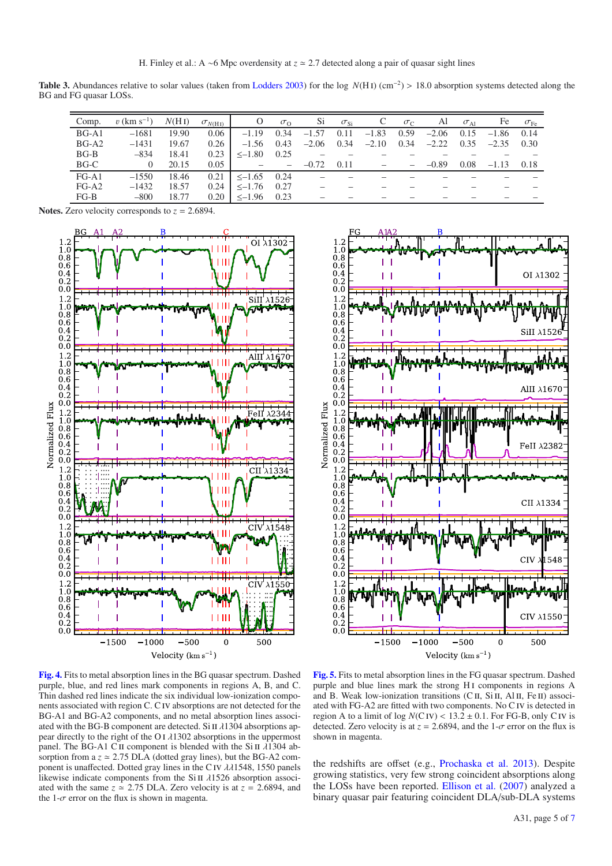**Table 3.** Abundances relative to solar values (taken from Lodders 2003) for the log *N*(H i) (cm−2) > 18.0 absorption systems detected along the BG and FG quasar LOSs.

| Comp.   | $v$ (km s <sup>-1</sup> ) | N(HI) | $\sigma_{N(\rm H\,I)}$ | $\circ$     | $\sigma_{\Omega}$        | Si      | $\sigma_{\rm Si}$ |         | $\sigma_{C}$ | Al      | $\sigma_{\text{Al}}$ | Fe      | $\sigma_{\rm Fe}$ |
|---------|---------------------------|-------|------------------------|-------------|--------------------------|---------|-------------------|---------|--------------|---------|----------------------|---------|-------------------|
| $BG-A1$ | $-1681$                   | 19.90 | 0.06                   | $-1.19$     | 0.34                     | $-1.57$ | 0.11              | $-1.83$ | 0.59         | $-2.06$ | 0.15                 | $-1.86$ | 0.14              |
| $BG-A2$ | $-1431$                   | 19.67 | 0.26                   | $-1.56$     | 0.43                     | $-2.06$ | 0.34              | $-2.10$ | 0.34         | $-2.22$ | 0.35                 | $-2.35$ | 0.30              |
| $BG-B$  | $-834$                    | 18.41 | 0.23                   | $\le -1.80$ | 0.25                     |         |                   |         |              |         |                      |         |                   |
| BG-C    | $\theta$                  | 20.15 | 0.05                   |             | $\overline{\phantom{m}}$ | $-0.72$ | 0.11              |         |              | $-0.89$ | 0.08                 | $-1.13$ | 0.18              |
| $FG-A1$ | $-1550$                   | 18.46 | 0.21                   | $\le -1.65$ | 0.24                     |         |                   |         |              |         |                      |         |                   |
| $FG-A2$ | $-1432$                   | 18.57 | 0.24                   | $\le -1.76$ | 0.27                     |         |                   |         |              |         |                      |         |                   |
| $FG-B$  | $-800$                    | 18.77 | 0.20                   | $\le -1.96$ | 0.23                     |         |                   |         |              |         |                      |         |                   |

**Notes.** Zero velocity corresponds to *z* = 2.6894.





**[Fig. 4.](http://dexter.edpsciences.org/applet.php?DOI=10.1051/0004-6361/201423961&pdf_id=4)** Fits to metal absorption lines in the BG quasar spectrum. Dashed purple, blue, and red lines mark components in regions A, B, and C. Thin dashed red lines indicate the six individual low-ionization components associated with region C. Civ absorptions are not detected for the BG-A1 and BG-A2 components, and no metal absorption lines associated with the BG-B component are detected. Si II  $\lambda$ 1304 absorptions appear directly to the right of the O I  $\lambda$ 1302 absorptions in the uppermost panel. The BG-A1 CII component is blended with the Si II  $\lambda$ 1304 absorption from a  $z \approx 2.75$  DLA (dotted gray lines), but the BG-A2 component is unaffected. Dotted gray lines in the C<sub>IV</sub>  $\lambda\lambda$ 1548, 1550 panels likewise indicate components from the Si II  $\lambda$ 1526 absorption associated with the same  $z \approx 2.75$  DLA. Zero velocity is at  $z = 2.6894$ , and the 1- $\sigma$  error on the flux is shown in magenta.

**[Fig. 5.](http://dexter.edpsciences.org/applet.php?DOI=10.1051/0004-6361/201423961&pdf_id=5)** Fits to metal absorption lines in the FG quasar spectrum. Dashed purple and blue lines mark the strong HI components in regions A and B. Weak low-ionization transitions (C II, Si II, Al II, Fe II) associated with FG-A2 are fitted with two components. No C iv is detected in region A to a limit of  $log N(CIV) < 13.2 \pm 0.1$ . For FG-B, only CIV is detected. Zero velocity is at  $z = 2.6894$ , and the  $1-\sigma$  error on the flux is shown in magenta.

the redshifts are offset (e.g., Prochaska et al. 2013). Despite growing statistics, very few strong coincident absorptions along the LOSs have been reported. Ellison et al. (2007) analyzed a binary quasar pair featuring coincident DLA/sub-DLA systems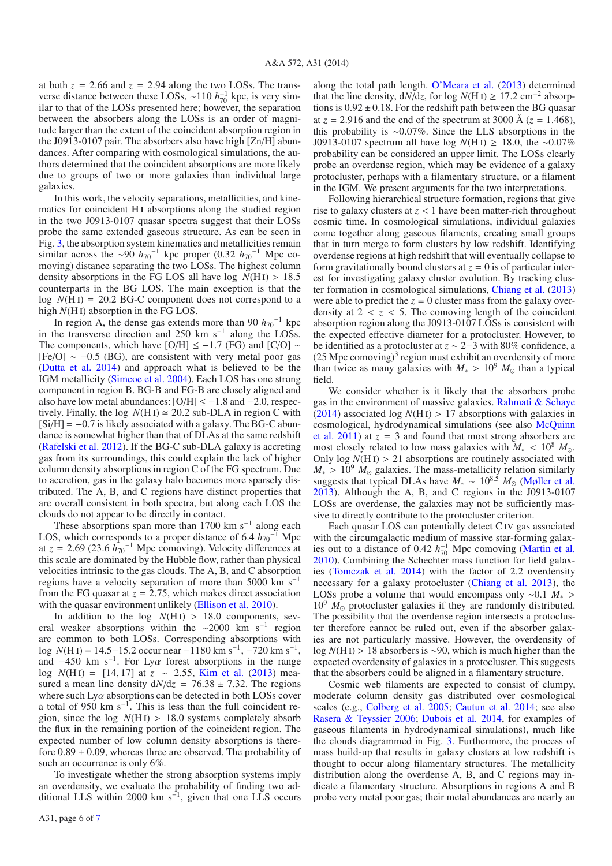at both  $z = 2.66$  and  $z = 2.94$  along the two LOSs. The transverse distance between these LOSs, ~110 *h*<sup>-1</sup><sub>70</sub> kpc, is very similar to that of the LOSs presented here; however, the separation between the absorbers along the LOSs is an order of magnitude larger than the extent of the coincident absorption region in the J0913-0107 pair. The absorbers also have high [Zn/H] abundances. After comparing with cosmological simulations, the authors determined that the coincident absorptions are more likely due to groups of two or more galaxies than individual large galaxies.

In this work, the velocity separations, metallicities, and kinematics for coincident H<sub>I</sub> absorptions along the studied region in the two J0913-0107 quasar spectra suggest that their LOSs probe the same extended gaseous structure. As can be seen in Fig. 3, the absorption system kinematics and metallicities remain similar across the ~90  $h_{70}$ <sup>-1</sup> kpc proper (0.32  $h_{70}$ <sup>-1</sup> Mpc comoving) distance separating the two LOSs. The highest column density absorptions in the FG LOS all have log  $N(H I) > 18.5$ counterparts in the BG LOS. The main exception is that the  $log N(HI) = 20.2 BG-C$  component does not correspond to a high  $N(H I)$  absorption in the FG LOS.

In region A, the dense gas extends more than 90  $h_{70}$ <sup>-1</sup> kpc in the transverse direction and 250 km s<sup> $-1$ </sup> along the LOSs. The components, which have [O/H]  $\le$  -1.7 (FG) and [C/O] ~  $[Fe/O] \sim -0.5$  (BG), are consistent with very metal poor gas (Dutta et al. 2014) and approach what is believed to be the IGM metallicity (Simcoe et al. 2004). Each LOS has one strong component in region B. BG-B and FG-B are closely aligned and also have low metal abundances:  $[O/H] \le -1.8$  and  $-2.0$ , respectively. Finally, the log  $N(H I) \approx 20.2$  sub-DLA in region C with  $[Si/H] = -0.7$  is likely associated with a galaxy. The BG-C abundance is somewhat higher than that of DLAs at the same redshift (Rafelski et al. 2012). If the BG-C sub-DLA galaxy is accreting gas from its surroundings, this could explain the lack of higher column density absorptions in region C of the FG spectrum. Due to accretion, gas in the galaxy halo becomes more sparsely distributed. The A, B, and C regions have distinct properties that are overall consistent in both spectra, but along each LOS the clouds do not appear to be directly in contact.

These absorptions span more than 1700 km s<sup>-1</sup> along each LOS, which corresponds to a proper distance of 6.4  $h_{70}$ <sup>-1</sup> Mpc at  $z = 2.69$  (23.6  $h_{70}^{-1}$  Mpc comoving). Velocity differences at this scale are dominated by the Hubble flow, rather than physical velocities intrinsic to the gas clouds. The A, B, and C absorption regions have a velocity separation of more than 5000 km s<sup>-1</sup> from the FG quasar at  $z = 2.75$ , which makes direct association with the quasar environment unlikely (Ellison et al. 2010).

In addition to the log  $N(HI) > 18.0$  components, several weaker absorptions within the ∼2000 km s<sup>-1</sup> region are common to both LOSs. Corresponding absorptions with log *N*(H<sub>I</sub>) = 14.5–15.2 occur near −1180 km s<sup>-1</sup>, −720 km s<sup>-1</sup>, and  $-450$  km s<sup>-1</sup>. For Ly $\alpha$  forest absorptions in the range log *<sup>N</sup>*(H i) <sup>=</sup> [14, 17] at *<sup>z</sup>* <sup>∼</sup> <sup>2</sup>.55, Kim et al. (2013) measured a mean line density  $dN/dz = 76.38 \pm 7.32$ . The regions where such  $Ly\alpha$  absorptions can be detected in both LOSs cover a total of 950 km s−1. This is less than the full coincident region, since the log  $N(HI) > 18.0$  systems completely absorb the flux in the remaining portion of the coincident region. The expected number of low column density absorptions is therefore  $0.89 \pm 0.09$ , whereas three are observed. The probability of such an occurrence is only 6%.

To investigate whether the strong absorption systems imply an overdensity, we evaluate the probability of finding two additional LLS within 2000 km s−1, given that one LLS occurs

A31, page 6 of 7

along the total path length. O'Meara et al. (2013) determined that the line density,  $dN/dz$ , for log  $N(H I) \ge 17.2$  cm<sup>-2</sup> absorptions is  $0.92 \pm 0.18$ . For the redshift path between the BG quasar at  $z = 2.916$  and the end of the spectrum at 3000 Å ( $z = 1.468$ ), this probability is ∼0.07%. Since the LLS absorptions in the J0913-0107 spectrum all have log *<sup>N</sup>*(H i) <sup>≥</sup> <sup>18</sup>.0, the <sup>∼</sup>0.07% probability can be considered an upper limit. The LOSs clearly probe an overdense region, which may be evidence of a galaxy protocluster, perhaps with a filamentary structure, or a filament in the IGM. We present arguments for the two interpretations.

Following hierarchical structure formation, regions that give rise to galaxy clusters at *z* < 1 have been matter-rich throughout cosmic time. In cosmological simulations, individual galaxies come together along gaseous filaments, creating small groups that in turn merge to form clusters by low redshift. Identifying overdense regions at high redshift that will eventually collapse to form gravitationally bound clusters at  $z = 0$  is of particular interest for investigating galaxy cluster evolution. By tracking cluster formation in cosmological simulations, Chiang et al. (2013) were able to predict the  $z = 0$  cluster mass from the galaxy overdensity at  $2 < z < 5$ . The comoving length of the coincident absorption region along the J0913-0107 LOSs is consistent with the expected effective diameter for a protocluster. However, to be identified as a protocluster at *z* ∼ 2−3 with 80% confidence, a  $(25 \text{ Mpc}$  comoving)<sup>3</sup> region must exhibit an overdensity of more than twice as many galaxies with  $M_* > 10^9$   $M_{\odot}$  than a typical field.

We consider whether is it likely that the absorbers probe gas in the environment of massive galaxies. Rahmati & Schaye (2014) associated log  $N(H I) > 17$  absorptions with galaxies in cosmological, hydrodynamical simulations (see also McQuinn et al. 2011) at  $z = 3$  and found that most strong absorbers are most closely related to low mass galaxies with  $M_* < 10^8 M_{\odot}$ . Only  $log N(H I) > 21$  absorptions are routinely associated with  $M_* > 10^9$   $M_{\odot}$  galaxies. The mass-metallicity relation similarly suggests that typical DLAs have  $M_* \sim 10^{8.5} M_{\odot}$  (Møller et al. 2013). Although the A, B, and C regions in the J0913-0107 LOSs are overdense, the galaxies may not be sufficiently massive to directly contribute to the protocluster criterion.

Each quasar LOS can potentially detect C iv gas associated with the circumgalactic medium of massive star-forming galaxies out to a distance of 0.42  $h_{70}^{-1}$  Mpc comoving (Martin et al. 2010). Combining the Schechter mass function for field galaxies (Tomczak et al. 2014) with the factor of 2.2 overdensity necessary for a galaxy protocluster (Chiang et al. 2013), the LOSs probe a volume that would encompass only ∼0.1 *M*<sup>∗</sup> >  $10^9$   $M_{\odot}$  protocluster galaxies if they are randomly distributed. The possibility that the overdense region intersects a protocluster therefore cannot be ruled out, even if the absorber galaxies are not particularly massive. However, the overdensity of log *<sup>N</sup>*(H i) <sup>&</sup>gt; 18 absorbers is <sup>∼</sup>90, which is much higher than the expected overdensity of galaxies in a protocluster. This suggests that the absorbers could be aligned in a filamentary structure.

Cosmic web filaments are expected to consist of clumpy, moderate column density gas distributed over cosmological scales (e.g., Colberg et al. 2005; Cautun et al. 2014; see also Rasera & Teyssier 2006; Dubois et al. 2014, for examples of gaseous filaments in hydrodynamical simulations), much like the clouds diagrammed in Fig. 3. Furthermore, the process of mass build-up that results in galaxy clusters at low redshift is thought to occur along filamentary structures. The metallicity distribution along the overdense A, B, and C regions may indicate a filamentary structure. Absorptions in regions A and B probe very metal poor gas; their metal abundances are nearly an